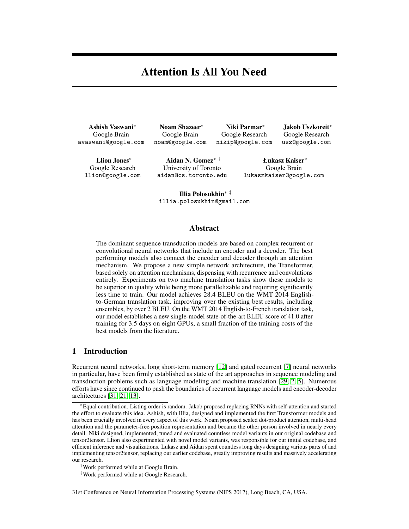# Attention Is All You Need

Ashish Vaswani<sup>∗</sup> Google Brain avaswani@google.com

Noam Shazeer<sup>∗</sup> Google Brain noam@google.com

Niki Parmar<sup>∗</sup> Google Research nikip@google.com

Jakob Uszkoreit<sup>∗</sup> Google Research usz@google.com

Llion Jones<sup>∗</sup> Google Research llion@google.com

Aidan N. Gomez∗ † University of Toronto aidan@cs.toronto.edu

Łukasz Kaiser<sup>∗</sup> Google Brain lukaszkaiser@google.com

Illia Polosukhin∗ ‡ illia.polosukhin@gmail.com

# Abstract

The dominant sequence transduction models are based on complex recurrent or convolutional neural networks that include an encoder and a decoder. The best performing models also connect the encoder and decoder through an attention mechanism. We propose a new simple network architecture, the Transformer, based solely on attention mechanisms, dispensing with recurrence and convolutions entirely. Experiments on two machine translation tasks show these models to be superior in quality while being more parallelizable and requiring significantly less time to train. Our model achieves 28.4 BLEU on the WMT 2014 Englishto-German translation task, improving over the existing best results, including ensembles, by over 2 BLEU. On the WMT 2014 English-to-French translation task, our model establishes a new single-model state-of-the-art BLEU score of 41.0 after training for 3.5 days on eight GPUs, a small fraction of the training costs of the best models from the literature.

## 1 Introduction

Recurrent neural networks, long short-term memory [12] and gated recurrent [7] neural networks in particular, have been firmly established as state of the art approaches in sequence modeling and transduction problems such as language modeling and machine translation [29, 2, 5]. Numerous efforts have since continued to push the boundaries of recurrent language models and encoder-decoder architectures [31, 21, 13].

‡Work performed while at Google Research.

31st Conference on Neural Information Processing Systems (NIPS 2017), Long Beach, CA, USA.

<sup>∗</sup>Equal contribution. Listing order is random. Jakob proposed replacing RNNs with self-attention and started the effort to evaluate this idea. Ashish, with Illia, designed and implemented the first Transformer models and has been crucially involved in every aspect of this work. Noam proposed scaled dot-product attention, multi-head attention and the parameter-free position representation and became the other person involved in nearly every detail. Niki designed, implemented, tuned and evaluated countless model variants in our original codebase and tensor2tensor. Llion also experimented with novel model variants, was responsible for our initial codebase, and efficient inference and visualizations. Lukasz and Aidan spent countless long days designing various parts of and implementing tensor2tensor, replacing our earlier codebase, greatly improving results and massively accelerating our research.

<sup>†</sup>Work performed while at Google Brain.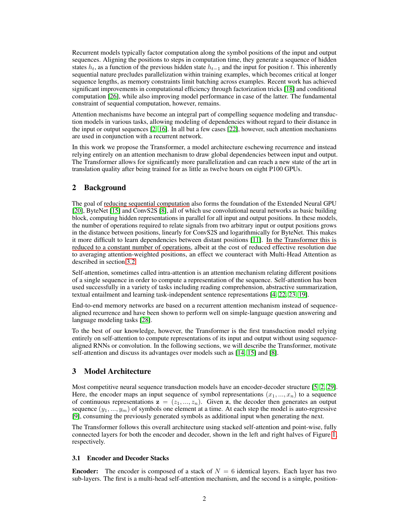Recurrent models typically factor computation along the symbol positions of the input and output sequences. Aligning the positions to steps in computation time, they generate a sequence of hidden states  $h_t$ , as a function of the previous hidden state  $h_{t-1}$  and the input for position t. This inherently sequential nature precludes parallelization within training examples, which becomes critical at longer sequence lengths, as memory constraints limit batching across examples. Recent work has achieved significant improvements in computational efficiency through factorization tricks [18] and conditional computation [26], while also improving model performance in case of the latter. The fundamental constraint of sequential computation, however, remains.

Attention mechanisms have become an integral part of compelling sequence modeling and transduction models in various tasks, allowing modeling of dependencies without regard to their distance in the input or output sequences [2, 16]. In all but a few cases [22], however, such attention mechanisms are used in conjunction with a recurrent network.

In this work we propose the Transformer, a model architecture eschewing recurrence and instead relying entirely on an attention mechanism to draw global dependencies between input and output. The Transformer allows for significantly more parallelization and can reach a new state of the art in translation quality after being trained for as little as twelve hours on eight P100 GPUs.

# 2 Background

The goal of reducing sequential computation also forms the foundation of the Extended Neural GPU [20], ByteNet [15] and ConvS2S [8], all of which use convolutional neural networks as basic building block, computing hidden representations in parallel for all input and output positions. In these models, the number of operations required to relate signals from two arbitrary input or output positions grows in the distance between positions, linearly for ConvS2S and logarithmically for ByteNet. This makes it more difficult to learn dependencies between distant positions [11]. In the Transformer this is reduced to a constant number of operations, albeit at the cost of reduced effective resolution due to averaging attention-weighted positions, an effect we counteract with Multi-Head Attention as described in section 3.2.

Self-attention, sometimes called intra-attention is an attention mechanism relating different positions of a single sequence in order to compute a representation of the sequence. Self-attention has been used successfully in a variety of tasks including reading comprehension, abstractive summarization, textual entailment and learning task-independent sentence representations [4, 22, 23, 19].

End-to-end memory networks are based on a recurrent attention mechanism instead of sequencealigned recurrence and have been shown to perform well on simple-language question answering and language modeling tasks [28].

To the best of our knowledge, however, the Transformer is the first transduction model relying entirely on self-attention to compute representations of its input and output without using sequencealigned RNNs or convolution. In the following sections, we will describe the Transformer, motivate self-attention and discuss its advantages over models such as [14, 15] and [8].

## 3 Model Architecture

Most competitive neural sequence transduction models have an encoder-decoder structure [5, 2, 29]. Here, the encoder maps an input sequence of symbol representations  $(x_1, ..., x_n)$  to a sequence of continuous representations  $z = (z_1, ..., z_n)$ . Given z, the decoder then generates an output sequence  $(y_1, ..., y_m)$  of symbols one element at a time. At each step the model is auto-regressive [9], consuming the previously generated symbols as additional input when generating the next.

The Transformer follows this overall architecture using stacked self-attention and point-wise, fully connected layers for both the encoder and decoder, shown in the left and right halves of Figure 1, respectively.

### 3.1 Encoder and Decoder Stacks

**Encoder:** The encoder is composed of a stack of  $N = 6$  identical layers. Each layer has two sub-layers. The first is a multi-head self-attention mechanism, and the second is a simple, position-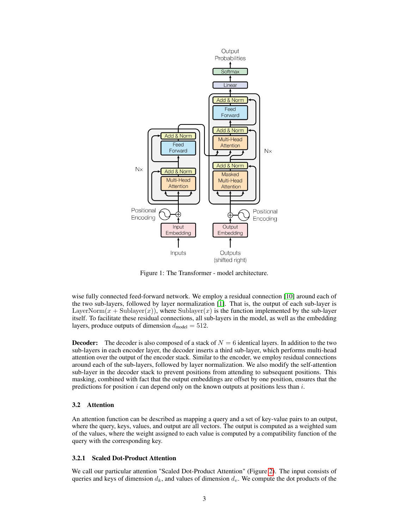

Figure 1: The Transformer - model architecture.

wise fully connected feed-forward network. We employ a residual connection [10] around each of the two sub-layers, followed by layer normalization [1]. That is, the output of each sub-layer is LayerNorm $(x + \text{Sublayer}(x))$ , where Sublayer $(x)$  is the function implemented by the sub-layer itself. To facilitate these residual connections, all sub-layers in the model, as well as the embedding layers, produce outputs of dimension  $d_{\text{model}} = 512$ .

**Decoder:** The decoder is also composed of a stack of  $N = 6$  identical layers. In addition to the two sub-layers in each encoder layer, the decoder inserts a third sub-layer, which performs multi-head attention over the output of the encoder stack. Similar to the encoder, we employ residual connections around each of the sub-layers, followed by layer normalization. We also modify the self-attention sub-layer in the decoder stack to prevent positions from attending to subsequent positions. This masking, combined with fact that the output embeddings are offset by one position, ensures that the predictions for position  $i$  can depend only on the known outputs at positions less than  $i$ .

### 3.2 Attention

An attention function can be described as mapping a query and a set of key-value pairs to an output, where the query, keys, values, and output are all vectors. The output is computed as a weighted sum of the values, where the weight assigned to each value is computed by a compatibility function of the query with the corresponding key.

### 3.2.1 Scaled Dot-Product Attention

We call our particular attention "Scaled Dot-Product Attention" (Figure 2). The input consists of queries and keys of dimension  $d_k$ , and values of dimension  $d_v$ . We compute the dot products of the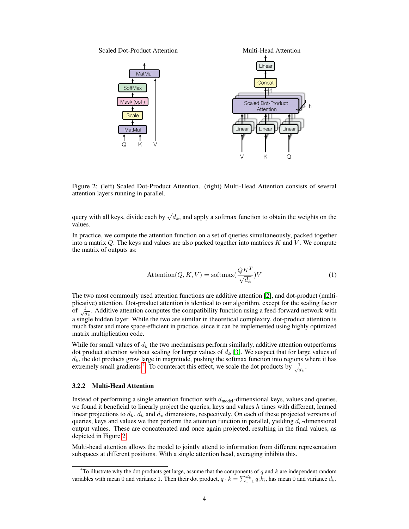

Figure 2: (left) Scaled Dot-Product Attention. (right) Multi-Head Attention consists of several attention layers running in parallel.

query with all keys, divide each by  $\sqrt{d_k}$ , and apply a softmax function to obtain the weights on the values.

In practice, we compute the attention function on a set of queries simultaneously, packed together into a matrix  $Q$ . The keys and values are also packed together into matrices  $K$  and  $V$ . We compute the matrix of outputs as:

$$
Attention(Q, K, V) = softmax(\frac{QK^{T}}{\sqrt{d_k}})V
$$
\n(1)

The two most commonly used attention functions are additive attention [2], and dot-product (multiplicative) attention. Dot-product attention is identical to our algorithm, except for the scaling factor of  $\frac{1}{\sqrt{2}}$  $\frac{1}{d_k}$ . Additive attention computes the compatibility function using a feed-forward network with a single hidden layer. While the two are similar in theoretical complexity, dot-product attention is much faster and more space-efficient in practice, since it can be implemented using highly optimized matrix multiplication code.

While for small values of  $d_k$  the two mechanisms perform similarly, additive attention outperforms dot product attention without scaling for larger values of  $d_k$  [3]. We suspect that for large values of  $d_k$ , the dot products grow large in magnitude, pushing the softmax function into regions where it has extremely small gradients <sup>4</sup>. To counteract this effect, we scale the dot products by  $\frac{1}{\sqrt{6}}$  $\frac{1}{d_k}$ .

#### 3.2.2 Multi-Head Attention

Instead of performing a single attention function with  $d_{model}$ -dimensional keys, values and queries, we found it beneficial to linearly project the queries, keys and values  $h$  times with different, learned linear projections to  $d_k$ ,  $d_k$  and  $d_v$  dimensions, respectively. On each of these projected versions of queries, keys and values we then perform the attention function in parallel, yielding  $d_v$ -dimensional output values. These are concatenated and once again projected, resulting in the final values, as depicted in Figure 2.

Multi-head attention allows the model to jointly attend to information from different representation subspaces at different positions. With a single attention head, averaging inhibits this.

<sup>&</sup>lt;sup>4</sup>To illustrate why the dot products get large, assume that the components of q and  $k$  are independent random variables with mean 0 and variance 1. Then their dot product,  $q \cdot k = \sum_{i=1}^{d_k} q_i k_i$ , has mean 0 and variance  $d_k$ .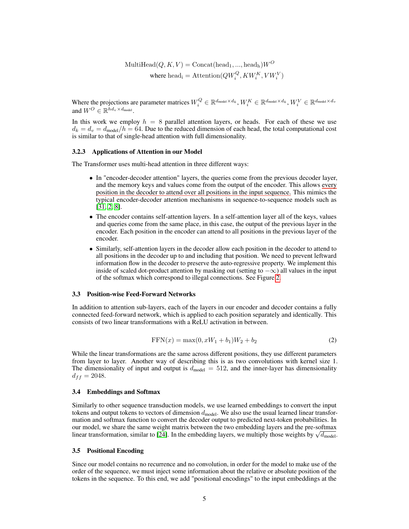MultiHead $(Q, K, V) = \text{Concat}(\text{head}_1, ..., \text{head}_h)W^O$ where  $\text{head}_{i} = \text{Attention}(QW_{i}^{Q}, KW_{i}^{K}, VW_{i}^{V})$ 

Where the projections are parameter matrices  $W_i^Q \in \mathbb{R}^{d_{\text{model}} \times d_k}, W_i^K \in \mathbb{R}^{d_{\text{model}} \times d_k}, W_i^V \in \mathbb{R}^{d_{\text{model}} \times d_v}$ and  $W^O \in \mathbb{R}^{hd_v \times d_{\text{model}}}$ .

In this work we employ  $h = 8$  parallel attention layers, or heads. For each of these we use  $d_k = d_v = d_{\text{model}}/h = 64$ . Due to the reduced dimension of each head, the total computational cost is similar to that of single-head attention with full dimensionality.

### 3.2.3 Applications of Attention in our Model

The Transformer uses multi-head attention in three different ways:

- In "encoder-decoder attention" layers, the queries come from the previous decoder layer, and the memory keys and values come from the output of the encoder. This allows every position in the decoder to attend over all positions in the input sequence. This mimics the typical encoder-decoder attention mechanisms in sequence-to-sequence models such as [31, 2, 8].
- The encoder contains self-attention layers. In a self-attention layer all of the keys, values and queries come from the same place, in this case, the output of the previous layer in the encoder. Each position in the encoder can attend to all positions in the previous layer of the encoder.
- Similarly, self-attention layers in the decoder allow each position in the decoder to attend to all positions in the decoder up to and including that position. We need to prevent leftward information flow in the decoder to preserve the auto-regressive property. We implement this inside of scaled dot-product attention by masking out (setting to  $-\infty$ ) all values in the input of the softmax which correspond to illegal connections. See Figure 2.

#### 3.3 Position-wise Feed-Forward Networks

In addition to attention sub-layers, each of the layers in our encoder and decoder contains a fully connected feed-forward network, which is applied to each position separately and identically. This consists of two linear transformations with a ReLU activation in between.

$$
FFN(x) = \max(0, xW_1 + b_1)W_2 + b_2
$$
\n(2)

While the linear transformations are the same across different positions, they use different parameters from layer to layer. Another way of describing this is as two convolutions with kernel size 1. The dimensionality of input and output is  $d_{\text{model}} = 512$ , and the inner-layer has dimensionality  $d_{ff} = 2048.$ 

### 3.4 Embeddings and Softmax

Similarly to other sequence transduction models, we use learned embeddings to convert the input tokens and output tokens to vectors of dimension  $d_{\text{model}}$ . We also use the usual learned linear transformation and softmax function to convert the decoder output to predicted next-token probabilities. In our model, we share the same weight matrix between the two embedding layers and the pre-softmax our model, we share the same weight matrix between the two embedding layers and the pre-softmax linear transformation, similar to [24]. In the embedding layers, we multiply those weights by  $\sqrt{d_{\text{model}}}$ .

### 3.5 Positional Encoding

Since our model contains no recurrence and no convolution, in order for the model to make use of the order of the sequence, we must inject some information about the relative or absolute position of the tokens in the sequence. To this end, we add "positional encodings" to the input embeddings at the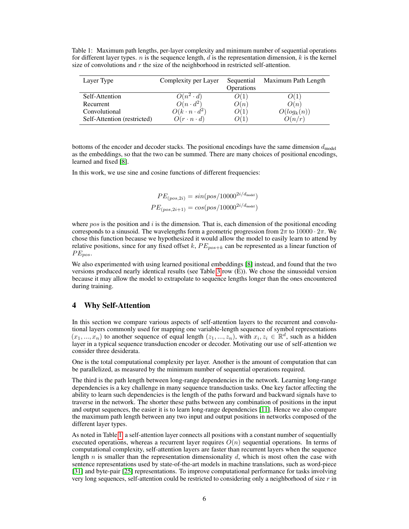Table 1: Maximum path lengths, per-layer complexity and minimum number of sequential operations for different layer types.  $n$  is the sequence length,  $d$  is the representation dimension,  $k$  is the kernel size of convolutions and  $r$  the size of the neighborhood in restricted self-attention.

| Layer Type                  | Complexity per Layer     | Sequential<br>Operations | Maximum Path Length |
|-----------------------------|--------------------------|--------------------------|---------------------|
| Self-Attention              | $O(n^2 \cdot d)$         | O(1)                     | O(1)                |
| Recurrent                   | $O(n \cdot d^2)$         | O(n)                     | O(n)                |
| Convolutional               | $O(k \cdot n \cdot d^2)$ | O(1)                     | $O(log_k(n))$       |
| Self-Attention (restricted) | $O(r \cdot n \cdot d)$   | O(1)                     | O(n/r)              |

bottoms of the encoder and decoder stacks. The positional encodings have the same dimension  $d_{\text{model}}$ as the embeddings, so that the two can be summed. There are many choices of positional encodings, learned and fixed [8].

In this work, we use sine and cosine functions of different frequencies:

$$
PE_{(pos, 2i)} = sin(pos/10000^{2i/d_{model}})
$$
  

$$
PE_{(pos, 2i+1)} = cos(pos/10000^{2i/d_{model}})
$$

where  $pos$  is the position and  $i$  is the dimension. That is, each dimension of the positional encoding corresponds to a sinusoid. The wavelengths form a geometric progression from  $2\pi$  to  $10000 \cdot 2\pi$ . We chose this function because we hypothesized it would allow the model to easily learn to attend by relative positions, since for any fixed offset k,  $PE_{pos+k}$  can be represented as a linear function of  $PE_{pos}.$ 

We also experimented with using learned positional embeddings [8] instead, and found that the two versions produced nearly identical results (see Table 3 row (E)). We chose the sinusoidal version because it may allow the model to extrapolate to sequence lengths longer than the ones encountered during training.

# 4 Why Self-Attention

In this section we compare various aspects of self-attention layers to the recurrent and convolutional layers commonly used for mapping one variable-length sequence of symbol representations  $(x_1, ..., x_n)$  to another sequence of equal length  $(z_1, ..., z_n)$ , with  $x_i, z_i \in \mathbb{R}^d$ , such as a hidden layer in a typical sequence transduction encoder or decoder. Motivating our use of self-attention we consider three desiderata.

One is the total computational complexity per layer. Another is the amount of computation that can be parallelized, as measured by the minimum number of sequential operations required.

The third is the path length between long-range dependencies in the network. Learning long-range dependencies is a key challenge in many sequence transduction tasks. One key factor affecting the ability to learn such dependencies is the length of the paths forward and backward signals have to traverse in the network. The shorter these paths between any combination of positions in the input and output sequences, the easier it is to learn long-range dependencies [11]. Hence we also compare the maximum path length between any two input and output positions in networks composed of the different layer types.

As noted in Table 1, a self-attention layer connects all positions with a constant number of sequentially executed operations, whereas a recurrent layer requires  $O(n)$  sequential operations. In terms of computational complexity, self-attention layers are faster than recurrent layers when the sequence length n is smaller than the representation dimensionality d, which is most often the case with sentence representations used by state-of-the-art models in machine translations, such as word-piece [31] and byte-pair [25] representations. To improve computational performance for tasks involving very long sequences, self-attention could be restricted to considering only a neighborhood of size  $r$  in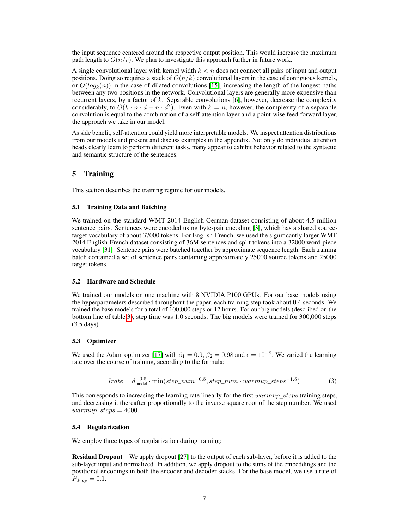the input sequence centered around the respective output position. This would increase the maximum path length to  $O(n/r)$ . We plan to investigate this approach further in future work.

A single convolutional layer with kernel width  $k < n$  does not connect all pairs of input and output positions. Doing so requires a stack of  $O(n/k)$  convolutional layers in the case of contiguous kernels, or  $O(log_k(n))$  in the case of dilated convolutions [15], increasing the length of the longest paths between any two positions in the network. Convolutional layers are generally more expensive than recurrent layers, by a factor of k. Separable convolutions  $[6]$ , however, decrease the complexity considerably, to  $O(k \cdot n \cdot d + n \cdot d^2)$ . Even with  $k = n$ , however, the complexity of a separable convolution is equal to the combination of a self-attention layer and a point-wise feed-forward layer, the approach we take in our model.

As side benefit, self-attention could yield more interpretable models. We inspect attention distributions from our models and present and discuss examples in the appendix. Not only do individual attention heads clearly learn to perform different tasks, many appear to exhibit behavior related to the syntactic and semantic structure of the sentences.

# 5 Training

This section describes the training regime for our models.

### 5.1 Training Data and Batching

We trained on the standard WMT 2014 English-German dataset consisting of about 4.5 million sentence pairs. Sentences were encoded using byte-pair encoding [3], which has a shared sourcetarget vocabulary of about 37000 tokens. For English-French, we used the significantly larger WMT 2014 English-French dataset consisting of 36M sentences and split tokens into a 32000 word-piece vocabulary [31]. Sentence pairs were batched together by approximate sequence length. Each training batch contained a set of sentence pairs containing approximately 25000 source tokens and 25000 target tokens.

### 5.2 Hardware and Schedule

We trained our models on one machine with 8 NVIDIA P100 GPUs. For our base models using the hyperparameters described throughout the paper, each training step took about 0.4 seconds. We trained the base models for a total of 100,000 steps or 12 hours. For our big models,(described on the bottom line of table 3), step time was 1.0 seconds. The big models were trained for 300,000 steps (3.5 days).

### 5.3 Optimizer

We used the Adam optimizer [17] with  $\beta_1 = 0.9$ ,  $\beta_2 = 0.98$  and  $\epsilon = 10^{-9}$ . We varied the learning rate over the course of training, according to the formula:

$$
lrate = d_{\text{model}}^{-0.5} \cdot \min(step\_num^{-0.5}, step\_num \cdot warmup\_steps^{-1.5})
$$
 (3)

This corresponds to increasing the learning rate linearly for the first  $warmup\_steps$  training steps, and decreasing it thereafter proportionally to the inverse square root of the step number. We used  $warmup\_steps = 4000.$ 

### 5.4 Regularization

We employ three types of regularization during training:

Residual Dropout We apply dropout [27] to the output of each sub-layer, before it is added to the sub-layer input and normalized. In addition, we apply dropout to the sums of the embeddings and the positional encodings in both the encoder and decoder stacks. For the base model, we use a rate of  $P_{drop} = 0.1.$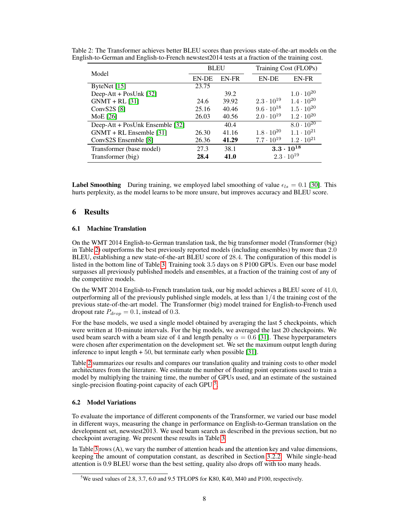|                                 | <b>BLEU</b>  |       |                     | Training Cost (FLOPs) |  |  |  |
|---------------------------------|--------------|-------|---------------------|-----------------------|--|--|--|
| Model                           | <b>EN-DE</b> | EN-FR | <b>EN-DE</b>        | EN-FR                 |  |  |  |
| ByteNet $[15]$                  | 23.75        |       |                     |                       |  |  |  |
| Deep-Att + PosUnk $[32]$        |              | 39.2  |                     | $1.0 \cdot 10^{20}$   |  |  |  |
| $GNMT + RL$ [31]                | 24.6         | 39.92 | $2.3 \cdot 10^{19}$ | $1.4 \cdot 10^{20}$   |  |  |  |
| Conv $S2S[8]$                   | 25.16        | 40.46 | $9.6 \cdot 10^{18}$ | $1.5 \cdot 10^{20}$   |  |  |  |
| MoE [26]                        | 26.03        | 40.56 | $2.0 \cdot 10^{19}$ | $1.2 \cdot 10^{20}$   |  |  |  |
| Deep-Att + PosUnk Ensemble [32] |              | 40.4  |                     | $8.0 \cdot 10^{20}$   |  |  |  |
| $GNMT + RL$ Ensemble [31]       | 26.30        | 41.16 | $1.8 \cdot 10^{20}$ | $1.1 \cdot 10^{21}$   |  |  |  |
| ConvS2S Ensemble [8]            | 26.36        | 41.29 | $7.7 \cdot 10^{19}$ | $1.2 \cdot 10^{21}$   |  |  |  |
| Transformer (base model)        | 27.3         | 38.1  |                     | $3.3\cdot10^{18}$     |  |  |  |
| Transformer (big)               | 28.4         | 41.0  |                     | $2.3 \cdot 10^{19}$   |  |  |  |

Table 2: The Transformer achieves better BLEU scores than previous state-of-the-art models on the English-to-German and English-to-French newstest2014 tests at a fraction of the training cost.

**Label Smoothing** During training, we employed label smoothing of value  $\epsilon_{ls} = 0.1$  [30]. This hurts perplexity, as the model learns to be more unsure, but improves accuracy and BLEU score.

## 6 Results

### 6.1 Machine Translation

On the WMT 2014 English-to-German translation task, the big transformer model (Transformer (big) in Table 2) outperforms the best previously reported models (including ensembles) by more than 2.0 BLEU, establishing a new state-of-the-art BLEU score of 28.4. The configuration of this model is listed in the bottom line of Table 3. Training took 3.5 days on 8 P100 GPUs. Even our base model surpasses all previously published models and ensembles, at a fraction of the training cost of any of the competitive models.

On the WMT 2014 English-to-French translation task, our big model achieves a BLEU score of 41.0, outperforming all of the previously published single models, at less than  $1/4$  the training cost of the previous state-of-the-art model. The Transformer (big) model trained for English-to-French used dropout rate  $P_{drop} = 0.1$ , instead of 0.3.

For the base models, we used a single model obtained by averaging the last 5 checkpoints, which were written at 10-minute intervals. For the big models, we averaged the last 20 checkpoints. We used beam search with a beam size of 4 and length penalty  $\alpha = 0.6$  [31]. These hyperparameters were chosen after experimentation on the development set. We set the maximum output length during inference to input length + 50, but terminate early when possible [31].

Table 2 summarizes our results and compares our translation quality and training costs to other model architectures from the literature. We estimate the number of floating point operations used to train a model by multiplying the training time, the number of GPUs used, and an estimate of the sustained single-precision floating-point capacity of each GPU<sup>5</sup>.

### 6.2 Model Variations

To evaluate the importance of different components of the Transformer, we varied our base model in different ways, measuring the change in performance on English-to-German translation on the development set, newstest2013. We used beam search as described in the previous section, but no checkpoint averaging. We present these results in Table 3.

In Table 3 rows (A), we vary the number of attention heads and the attention key and value dimensions, keeping the amount of computation constant, as described in Section 3.2.2. While single-head attention is 0.9 BLEU worse than the best setting, quality also drops off with too many heads.

<sup>&</sup>lt;sup>5</sup>We used values of 2.8, 3.7, 6.0 and 9.5 TFLOPS for K80, K40, M40 and P100, respectively.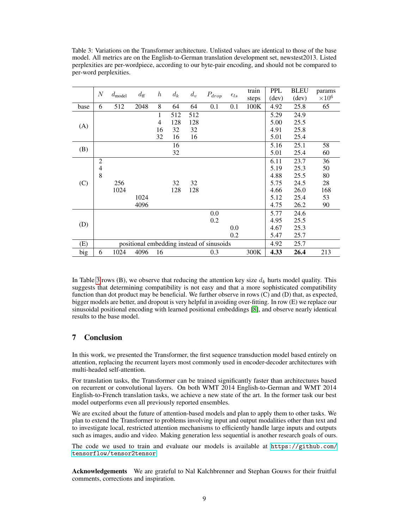Table 3: Variations on the Transformer architecture. Unlisted values are identical to those of the base model. All metrics are on the English-to-German translation development set, newstest2013. Listed perplexities are per-wordpiece, according to our byte-pair encoding, and should not be compared to per-word perplexities.

|      | N                                         | $d_{\text{model}}$ | $d_{\rm ff}$ | $\boldsymbol{h}$ | $d_k$ | $d_v$ | $P_{drop}$ | $\epsilon_{ls}$ | train | <b>PPL</b> | <b>BLEU</b> | params        |
|------|-------------------------------------------|--------------------|--------------|------------------|-------|-------|------------|-----------------|-------|------------|-------------|---------------|
|      |                                           |                    |              |                  |       |       |            |                 | steps | (dev)      | (dev)       | $\times 10^6$ |
| base | 6                                         | 512                | 2048         | 8                | 64    | 64    | 0.1        | 0.1             | 100K  | 4.92       | 25.8        | 65            |
| (A)  |                                           |                    |              | 1                | 512   | 512   |            |                 |       | 5.29       | 24.9        |               |
|      |                                           |                    |              | 4                | 128   | 128   |            |                 |       | 5.00       | 25.5        |               |
|      |                                           |                    |              | 16               | 32    | 32    |            |                 |       | 4.91       | 25.8        |               |
|      |                                           |                    |              | 32               | 16    | 16    |            |                 |       | 5.01       | 25.4        |               |
| (B)  |                                           |                    |              |                  | 16    |       |            |                 |       | 5.16       | 25.1        | 58            |
|      |                                           |                    |              |                  | 32    |       |            |                 |       | 5.01       | 25.4        | 60            |
|      | $\overline{c}$                            |                    |              |                  |       |       |            |                 |       | 6.11       | 23.7        | 36            |
|      | 4                                         |                    |              |                  |       |       |            |                 |       | 5.19       | 25.3        | 50            |
|      | 8                                         |                    |              |                  |       |       |            |                 |       | 4.88       | 25.5        | 80            |
| (C)  |                                           | 256                |              |                  | 32    | 32    |            |                 |       | 5.75       | 24.5        | 28            |
|      |                                           | 1024               |              |                  | 128   | 128   |            |                 |       | 4.66       | 26.0        | 168           |
|      |                                           |                    | 1024         |                  |       |       |            |                 |       | 5.12       | 25.4        | 53            |
|      |                                           |                    | 4096         |                  |       |       |            |                 |       | 4.75       | 26.2        | 90            |
| (D)  |                                           |                    |              |                  |       |       | 0.0        |                 |       | 5.77       | 24.6        |               |
|      |                                           |                    |              |                  |       |       | 0.2        |                 |       | 4.95       | 25.5        |               |
|      |                                           |                    |              |                  |       |       |            | 0.0             |       | 4.67       | 25.3        |               |
|      |                                           |                    |              |                  |       |       |            | 0.2             |       | 5.47       | 25.7        |               |
| (E)  | positional embedding instead of sinusoids |                    |              |                  |       |       |            | 4.92            | 25.7  |            |             |               |
| big  | 6                                         | 1024               | 4096         | 16               |       |       | 0.3        |                 | 300K  | 4.33       | 26.4        | 213           |

In Table 3 rows (B), we observe that reducing the attention key size  $d_k$  hurts model quality. This suggests that determining compatibility is not easy and that a more sophisticated compatibility function than dot product may be beneficial. We further observe in rows (C) and (D) that, as expected, bigger models are better, and dropout is very helpful in avoiding over-fitting. In row (E) we replace our sinusoidal positional encoding with learned positional embeddings [8], and observe nearly identical results to the base model.

# 7 Conclusion

In this work, we presented the Transformer, the first sequence transduction model based entirely on attention, replacing the recurrent layers most commonly used in encoder-decoder architectures with multi-headed self-attention.

For translation tasks, the Transformer can be trained significantly faster than architectures based on recurrent or convolutional layers. On both WMT 2014 English-to-German and WMT 2014 English-to-French translation tasks, we achieve a new state of the art. In the former task our best model outperforms even all previously reported ensembles.

We are excited about the future of attention-based models and plan to apply them to other tasks. We plan to extend the Transformer to problems involving input and output modalities other than text and to investigate local, restricted attention mechanisms to efficiently handle large inputs and outputs such as images, audio and video. Making generation less sequential is another research goals of ours.

The code we used to train and evaluate our models is available at [https://github.com/](https://github.com/tensorflow/tensor2tensor) [tensorflow/tensor2tensor](https://github.com/tensorflow/tensor2tensor).

Acknowledgements We are grateful to Nal Kalchbrenner and Stephan Gouws for their fruitful comments, corrections and inspiration.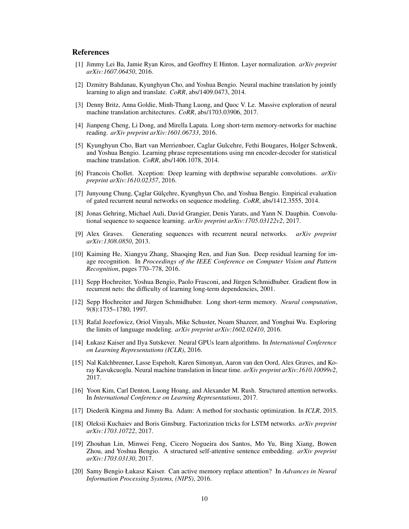# References

- [1] Jimmy Lei Ba, Jamie Ryan Kiros, and Geoffrey E Hinton. Layer normalization. *arXiv preprint arXiv:1607.06450*, 2016.
- [2] Dzmitry Bahdanau, Kyunghyun Cho, and Yoshua Bengio. Neural machine translation by jointly learning to align and translate. *CoRR*, abs/1409.0473, 2014.
- [3] Denny Britz, Anna Goldie, Minh-Thang Luong, and Quoc V. Le. Massive exploration of neural machine translation architectures. *CoRR*, abs/1703.03906, 2017.
- [4] Jianpeng Cheng, Li Dong, and Mirella Lapata. Long short-term memory-networks for machine reading. *arXiv preprint arXiv:1601.06733*, 2016.
- [5] Kyunghyun Cho, Bart van Merrienboer, Caglar Gulcehre, Fethi Bougares, Holger Schwenk, and Yoshua Bengio. Learning phrase representations using rnn encoder-decoder for statistical machine translation. *CoRR*, abs/1406.1078, 2014.
- [6] Francois Chollet. Xception: Deep learning with depthwise separable convolutions. *arXiv preprint arXiv:1610.02357*, 2016.
- [7] Junyoung Chung, Çaglar Gülçehre, Kyunghyun Cho, and Yoshua Bengio. Empirical evaluation of gated recurrent neural networks on sequence modeling. *CoRR*, abs/1412.3555, 2014.
- [8] Jonas Gehring, Michael Auli, David Grangier, Denis Yarats, and Yann N. Dauphin. Convolutional sequence to sequence learning. *arXiv preprint arXiv:1705.03122v2*, 2017.
- [9] Alex Graves. Generating sequences with recurrent neural networks. *arXiv preprint arXiv:1308.0850*, 2013.
- [10] Kaiming He, Xiangyu Zhang, Shaoqing Ren, and Jian Sun. Deep residual learning for image recognition. In *Proceedings of the IEEE Conference on Computer Vision and Pattern Recognition*, pages 770–778, 2016.
- [11] Sepp Hochreiter, Yoshua Bengio, Paolo Frasconi, and Jürgen Schmidhuber. Gradient flow in recurrent nets: the difficulty of learning long-term dependencies, 2001.
- [12] Sepp Hochreiter and Jürgen Schmidhuber. Long short-term memory. *Neural computation*, 9(8):1735–1780, 1997.
- [13] Rafal Jozefowicz, Oriol Vinyals, Mike Schuster, Noam Shazeer, and Yonghui Wu. Exploring the limits of language modeling. *arXiv preprint arXiv:1602.02410*, 2016.
- [14] Łukasz Kaiser and Ilya Sutskever. Neural GPUs learn algorithms. In *International Conference on Learning Representations (ICLR)*, 2016.
- [15] Nal Kalchbrenner, Lasse Espeholt, Karen Simonyan, Aaron van den Oord, Alex Graves, and Koray Kavukcuoglu. Neural machine translation in linear time. *arXiv preprint arXiv:1610.10099v2*, 2017.
- [16] Yoon Kim, Carl Denton, Luong Hoang, and Alexander M. Rush. Structured attention networks. In *International Conference on Learning Representations*, 2017.
- [17] Diederik Kingma and Jimmy Ba. Adam: A method for stochastic optimization. In *ICLR*, 2015.
- [18] Oleksii Kuchaiev and Boris Ginsburg. Factorization tricks for LSTM networks. *arXiv preprint arXiv:1703.10722*, 2017.
- [19] Zhouhan Lin, Minwei Feng, Cicero Nogueira dos Santos, Mo Yu, Bing Xiang, Bowen Zhou, and Yoshua Bengio. A structured self-attentive sentence embedding. *arXiv preprint arXiv:1703.03130*, 2017.
- [20] Samy Bengio Łukasz Kaiser. Can active memory replace attention? In *Advances in Neural Information Processing Systems, (NIPS)*, 2016.